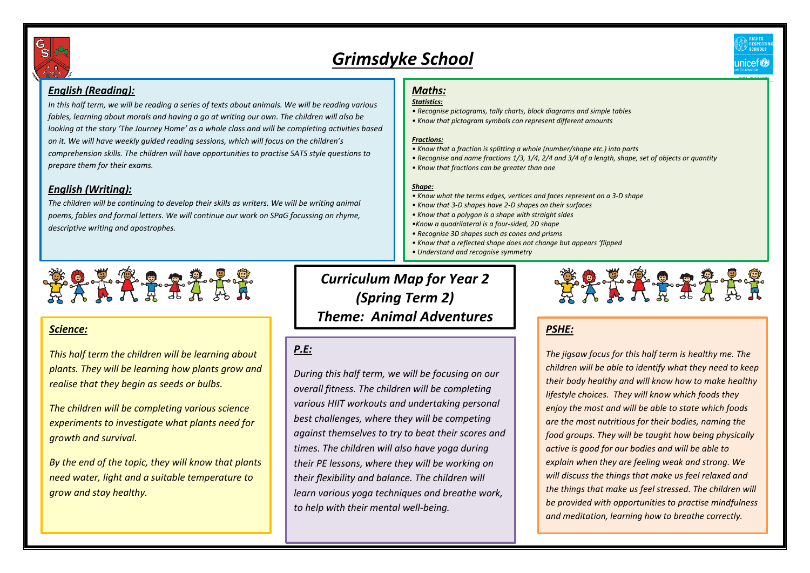

# *Grimsdyke School*

# *English (Reading):*

*In this half term, we will be reading a series of texts about animals. We will be reading various fables, learning about morals and having a go at writing our own. The children will also be looking at the story 'The Journey Home' as a whole class and will be completing activities based on it. We will have weekly guided reading sessions, which will focus on the children's comprehension skills. The children will have opportunities to practise SATS style questions to prepare them for their exams.* 

# *English (Writing):*

*The children will be continuing to develop their skills as writers. We will be writing animal poems, fables and formal letters. We will continue our work on SPaG focussing on rhyme, descriptive writing and apostrophes.* 

# 2777775

# *Science:*

*This half term the children will be learning about plants. They will be learning how plants grow and realise that they begin as seeds or bulbs.* 

*The children will be completing various science experiments to investigate what plants need for growth and survival.* 

*By the end of the topic, they will know that plants need water, light and a suitable temperature to grow and stay healthy.* 

#### *Maths: Statistics:*

- *Recognise pictograms, tally charts, block diagrams and simple tables*
- *Know that pictogram symbols can represent different amounts*

#### *Fractions:*

- *• Know that a fraction is splitting a whole (number/shape etc.) into parts*
- *Recognise and name fractions 1/3, 1/4, 2/4 and 3/4 of a length, shape, set of objects or quantity*
- *Know that fractions can be greater than one*

### *Shape:*

- *Know what the terms edges, vertices and faces represent on a 3-D shape*
- *Know that 3-D shapes have 2-D shapes on their surfaces*
- *Know that a polygon is a shape with straight sides*
- *•Know a quadrilateral is a four-sided, 2D shape*
- *Recognise 3D shapes such as cones and prisms*
- *• Know that a reflected shape does not change but appears 'flipped*
- *Understand and recognise symmetry*

# *Curriculum Map for Year 2 (Spring Term 2) Theme: Animal Adventures*

# *P.E:*

*During this half term, we will be focusing on our overall fitness. The children will be completing various HIIT workouts and undertaking personal best challenges, where they will be competing against themselves to try to beat their scores and times. The children will also have yoga during their PE lessons, where they will be working on their flexibility and balance. The children will learn various yoga techniques and breathe work, to help with their mental well-being.* 



nicet®

# *PSHE:*

*The jigsaw focus for this half term is healthy me. The children will be able to identify what they need to keep their body healthy and will know how to make healthy lifestyle choices. They will know which foods they enjoy the most and will be able to state which foods are the most nutritious for their bodies, naming the food groups. They will be taught how being physically active is good for our bodies and will be able to explain when they are feeling weak and strong. We will discuss the things that make us feel relaxed and the things that make us feel stressed. The children will be provided with opportunities to practise mindfulness and meditation, learning how to breathe correctly.*